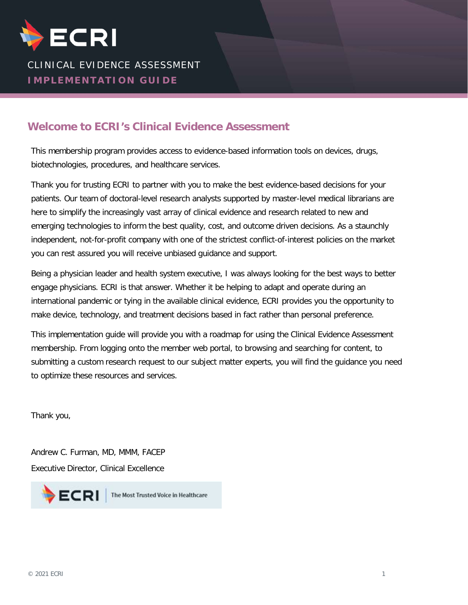

# CLINICAL EVIDENCE ASSESSMENT **IMPLEMENTATION GUIDE**

#### **Welcome to ECRI's Clinical Evidence Assessment**

This membership program provides access to evidence-based information tools on devices, drugs, biotechnologies, procedures, and healthcare services.

Thank you for trusting ECRI to partner with you to make the best evidence-based decisions for your patients. Our team of doctoral-level research analysts supported by master-level medical librarians are here to simplify the increasingly vast array of clinical evidence and research related to new and emerging technologies to inform the best quality, cost, and outcome driven decisions. As a staunchly independent, not-for-profit company with one of the strictest conflict-of-interest policies on the market you can rest assured you will receive unbiased guidance and support.

Being a physician leader and health system executive, I was always looking for the best ways to better engage physicians. ECRI is that answer. Whether it be helping to adapt and operate during an international pandemic or tying in the available clinical evidence, ECRI provides you the opportunity to make device, technology, and treatment decisions based in fact rather than personal preference.

This implementation guide will provide you with a roadmap for using the Clinical Evidence Assessment membership. From logging onto the member web portal, to browsing and searching for content, to submitting a custom research request to our subject matter experts, you will find the guidance you need to optimize these resources and services.

Thank you,

Andrew C. Furman, MD, MMM, FACEP Executive Director, Clinical Excellence

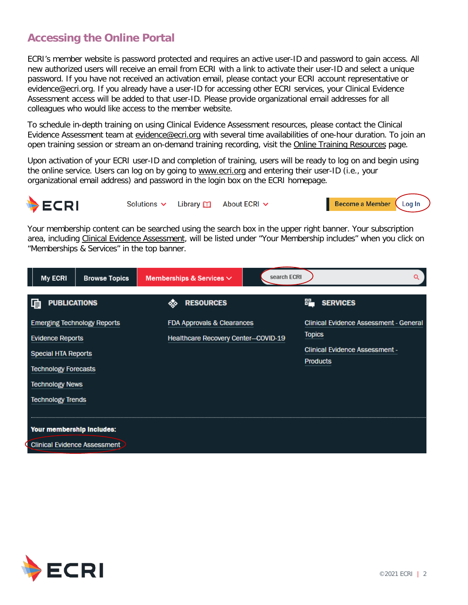# **Accessing the Online Portal**

ECRI's member website is password protected and requires an active user-ID and password to gain access. All new authorized users will receive an email from ECRI with a link to activate their user-ID and select a unique password. If you have not received an activation email, please contact your ECRI account representative or evidence@ecri.org. If you already have a user-ID for accessing other ECRI services, your Clinical Evidence Assessment access will be added to that user-ID. Please provide organizational email addresses for all colleagues who would like access to the member website.

To schedule in-depth training on using Clinical Evidence Assessment resources, please contact the Clinical Evidence Assessment team at [evidence@ecri.org](mailto:evidence@ecri.org) with several time availabilities of one-hour duration. To join an open training session or stream an on-demand training recording, visit the [Online Training Resources](https://www.ecri.org/components/HTAIS/Pages/training.aspx) page.

Upon activation of your ECRI user-ID and completion of training, users will be ready to log on and begin using the online service. Users can log on by going to [www.ecri.org](http://www.ecri.org/) and entering their user-ID (i.e., your organizational email address) and password in the login box on the ECRI homepage.



Your membership content can be searched using the search box in the upper right banner. Your subscription area, including [Clinical Evidence Assessment,](https://www.ecri.org/components/HTAIS/Pages/default.aspx) will be listed under "Your Membership includes" when you click on "Memberships & Services" in the top banner.

| <b>My ECRI</b>                                                                                                                                                                   | <b>Browse Topics</b>                | Memberships & Services $\vee$                                     | search ECRI | Q                                                                                                                          |
|----------------------------------------------------------------------------------------------------------------------------------------------------------------------------------|-------------------------------------|-------------------------------------------------------------------|-------------|----------------------------------------------------------------------------------------------------------------------------|
| 重<br><b>PUBLICATIONS</b>                                                                                                                                                         |                                     | <b>RESOURCES</b><br>❖                                             |             | 嘂.<br><b>SERVICES</b>                                                                                                      |
| <b>Emerging Technology Reports</b><br><b>Evidence Reports</b><br><b>Special HTA Reports</b><br><b>Technology Forecasts</b><br><b>Technology News</b><br><b>Technology Trends</b> |                                     | FDA Approvals & Clearances<br>Healthcare Recovery Center-COVID-19 |             | <b>Clinical Evidence Assessment - General</b><br><b>Topics</b><br><b>Clinical Evidence Assessment -</b><br><b>Products</b> |
| Your membership includes:                                                                                                                                                        | <b>Clinical Evidence Assessment</b> |                                                                   |             |                                                                                                                            |

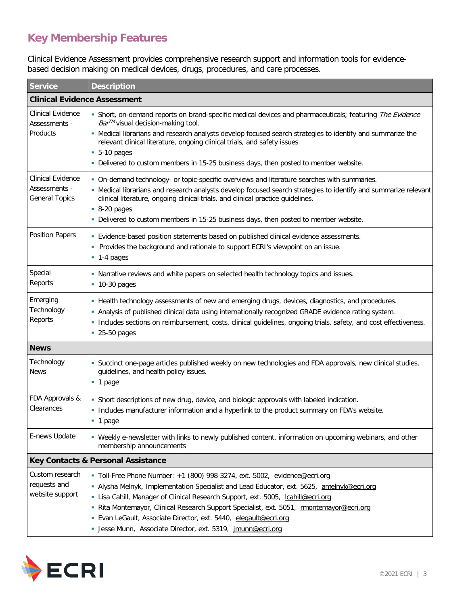# **Key Membership Features**

Clinical Evidence Assessment provides comprehensive research support and information tools for evidencebased decision making on medical devices, drugs, procedures, and care processes.

| Service                                                     | <b>Description</b>                                                                                                                                                                                                                                                                                                                                                                                                                                                                    |  |  |  |
|-------------------------------------------------------------|---------------------------------------------------------------------------------------------------------------------------------------------------------------------------------------------------------------------------------------------------------------------------------------------------------------------------------------------------------------------------------------------------------------------------------------------------------------------------------------|--|--|--|
| <b>Clinical Evidence Assessment</b>                         |                                                                                                                                                                                                                                                                                                                                                                                                                                                                                       |  |  |  |
| Clinical Evidence<br>Assessments -<br>Products              | Short, on-demand reports on brand-specific medical devices and pharmaceuticals; featuring The Evidence<br><i>Bar™</i> visual decision-making tool.<br>- Medical librarians and research analysts develop focused search strategies to identify and summarize the<br>relevant clinical literature, ongoing clinical trials, and safety issues.<br>$-5-10$ pages<br>- Delivered to custom members in 15-25 business days, then posted to member website.                                |  |  |  |
| Clinical Evidence<br>Assessments -<br><b>General Topics</b> | • On-demand technology- or topic-specific overviews and literature searches with summaries.<br>- Medical librarians and research analysts develop focused search strategies to identify and summarize relevant<br>clinical literature, ongoing clinical trials, and clinical practice guidelines.<br>$-8-20$ pages<br>- Delivered to custom members in 15-25 business days, then posted to member website.                                                                            |  |  |  |
| <b>Position Papers</b>                                      | - Evidence-based position statements based on published clinical evidence assessments.<br>Provides the background and rationale to support ECRI's viewpoint on an issue.<br>$-1-4$ pages                                                                                                                                                                                                                                                                                              |  |  |  |
| Special<br>Reports                                          | . Narrative reviews and white papers on selected health technology topics and issues.<br>$-10-30$ pages                                                                                                                                                                                                                                                                                                                                                                               |  |  |  |
| Emerging<br>Technology<br>Reports                           | - Health technology assessments of new and emerging drugs, devices, diagnostics, and procedures.<br>- Analysis of published clinical data using internationally recognized GRADE evidence rating system.<br>· Includes sections on reimbursement, costs, clinical guidelines, ongoing trials, safety, and cost effectiveness.<br>• 25-50 pages                                                                                                                                        |  |  |  |
| <b>News</b>                                                 |                                                                                                                                                                                                                                                                                                                                                                                                                                                                                       |  |  |  |
| Technology<br><b>News</b>                                   | Succinct one-page articles published weekly on new technologies and FDA approvals, new clinical studies,<br>ш<br>guidelines, and health policy issues.<br>$\blacksquare$ 1 page                                                                                                                                                                                                                                                                                                       |  |  |  |
| FDA Approvals &<br>Clearances                               | • Short descriptions of new drug, device, and biologic approvals with labeled indication.<br>- Includes manufacturer information and a hyperlink to the product summary on FDA's website.<br>1 page                                                                                                                                                                                                                                                                                   |  |  |  |
| E-news Update                                               | - Weekly e-newsletter with links to newly published content, information on upcoming webinars, and other<br>membership announcements                                                                                                                                                                                                                                                                                                                                                  |  |  |  |
| Key Contacts & Personal Assistance                          |                                                                                                                                                                                                                                                                                                                                                                                                                                                                                       |  |  |  |
| Custom research<br>requests and<br>website support          | Toll-Free Phone Number: +1 (800) 998-3274, ext. 5002, evidence@ecri.org<br>• Alysha Melnyk, Implementation Specialist and Lead Educator, ext. 5625, amelnyk@ecri.org<br>• Lisa Cahill, Manager of Clinical Research Support, ext. 5005, Icahill@ecri.org<br>Rita Montemayor, Clinical Research Support Specialist, ext. 5051, rmontemayor@ecri.org<br>· Evan LeGault, Associate Director, ext. 5440, elegault@ecri.org<br>· Jesse Munn, Associate Director, ext. 5319, jmunn@ecri.org |  |  |  |

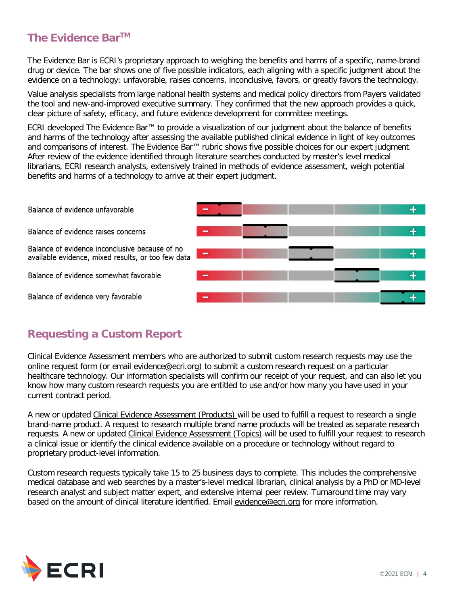#### **The Evidence BarTM**

The Evidence Bar is ECRI's proprietary approach to weighing the benefits and harms of a specific, name-brand drug or device. The bar shows one of five possible indicators, each aligning with a specific judgment about the evidence on a technology: unfavorable, raises concerns, inconclusive, favors, or greatly favors the technology.

Value analysis specialists from large national health systems and medical policy directors from Payers validated the tool and new-and-improved executive summary. They confirmed that the new approach provides a quick, clear picture of safety, efficacy, and future evidence development for committee meetings.

ECRI developed The Evidence Bar™ to provide a visualization of our judgment about the balance of benefits and harms of the technology after assessing the available published clinical evidence in light of key outcomes and comparisons of interest. The Evidence Bar™ rubric shows five possible choices for our expert judgment. After review of the evidence identified through literature searches conducted by master's level medical librarians, ECRI research analysts, extensively trained in methods of evidence assessment, weigh potential benefits and harms of a technology to arrive at their expert judgment.

Balance of evidence unfavorable

Balance of evidence raises concerns

Balance of evidence inconclusive because of no available evidence, mixed results, or too few data

Balance of evidence somewhat favorable

Balance of evidence very favorable



#### **Requesting a Custom Report**

Clinical Evidence Assessment members who are authorized to submit custom research requests may use the [online request form](http://www.ecri.org/Forms/Pages/Hotline-Request.aspx) (or email [evidence@ecri.org\)](mailto:evidence@ecri.org) to submit a custom research request on a particular healthcare technology. Our information specialists will confirm our receipt of your request, and can also let you know how many custom research requests you are entitled to use and/or how many you have used in your current contract period.

A new or updated [Clinical Evidence Assessment](https://www.ecri.org/Components/ProductBriefs) (Products) will be used to fulfill a request to research a single brand-name product. A request to research multiple brand name products will be treated as separate research requests. A new or updated [Clinical Evidence Assessment \(Topics\)](https://www.ecri.org/components/Hotline) will be used to fulfill your request to research a clinical issue or identify the clinical evidence available on a procedure or technology without regard to proprietary product-level information.

Custom research requests typically take 15 to 25 business days to complete. This includes the comprehensive medical database and web searches by a master's-level medical librarian, clinical analysis by a PhD or MD-level research analyst and subject matter expert, and extensive internal peer review. Turnaround time may vary based on the amount of clinical literature identified. Email [evidence@ecri.org](mailto:evidence@ecri.org) for more information.

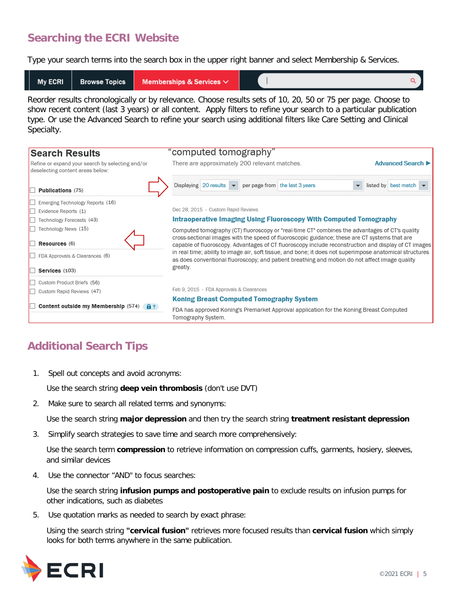# **Searching the ECRI Website**

Type your search terms into the search box in the upper right banner and select Membership & Services.



Reorder results chronologically or by relevance. Choose results sets of 10, 20, 50 or 75 per page. Choose to show recent content (last 3 years) or all content. Apply filters to refine your search to a particular publication type. Or use the Advanced Search to refine your search using additional filters like Care Setting and Clinical Specialty.

| <b>Search Results</b>                                                                | "computed tomography"                                                                                                                                                                                      |  |  |
|--------------------------------------------------------------------------------------|------------------------------------------------------------------------------------------------------------------------------------------------------------------------------------------------------------|--|--|
| Refine or expand your search by selecting and/or<br>deselecting content areas below: | There are approximately 200 relevant matches.<br><b>Advanced Search I</b>                                                                                                                                  |  |  |
| Publications (75)                                                                    | Displaying 20 results $\blacktriangleright$<br>per page from the last 3 years<br>listed by best match                                                                                                      |  |  |
| Emerging Technology Reports (16)                                                     |                                                                                                                                                                                                            |  |  |
| Evidence Reports (1)                                                                 | Dec 28, 2015 - Custom Rapid Reviews                                                                                                                                                                        |  |  |
| Technology Forecasts (43)                                                            | Intraoperative Imaging Using Fluoroscopy With Computed Tomography                                                                                                                                          |  |  |
| Technology News (15)                                                                 | Computed tomography (CT) fluoroscopy or "real-time CT" combines the advantages of CT's quality                                                                                                             |  |  |
| Resources (6)                                                                        | cross-sectional images with the speed of fluoroscopic guidance; these are CT systems that are<br>capable of fluoroscopy. Advantages of CT fluoroscopy include reconstruction and display of CT images      |  |  |
| FDA Approvals & Clearances (6)                                                       | in real time; ability to image air, soft tissue, and bone; it does not superimpose anatomical structures<br>as does conventional fluoroscopy; and patient breathing and motion do not affect image quality |  |  |
| Services (103)                                                                       | greatly.                                                                                                                                                                                                   |  |  |
| Custom Product Briefs (56)                                                           |                                                                                                                                                                                                            |  |  |
| Custom Rapid Reviews (47)                                                            | Feb 9, 2015 - FDA Approvals & Clearances                                                                                                                                                                   |  |  |
|                                                                                      | <b>Koning Breast Computed Tomography System</b>                                                                                                                                                            |  |  |
| Content outside my Membership (574)<br>$A$ ?                                         | FDA has approved Koning's Premarket Approval application for the Koning Breast Computed<br>Tomography System.                                                                                              |  |  |
|                                                                                      |                                                                                                                                                                                                            |  |  |

# **Additional Search Tips**

1. Spell out concepts and avoid acronyms:

Use the search string **deep vein thrombosis** (don't use DVT)

2. Make sure to search all related terms and synonyms:

Use the search string **major depression** and then try the search string **treatment resistant depression**

3. Simplify search strategies to save time and search more comprehensively:

Use the search term **compression** to retrieve information on compression cuffs, garments, hosiery, sleeves, and similar devices

4. Use the connector "AND" to focus searches:

Use the search string **infusion pumps and postoperative pain** to exclude results on infusion pumps for other indications, such as diabetes

5. Use quotation marks as needed to search by exact phrase:

Using the search string **"cervical fusion"** retrieves more focused results than **cervical fusion** which simply looks for both terms anywhere in the same publication.

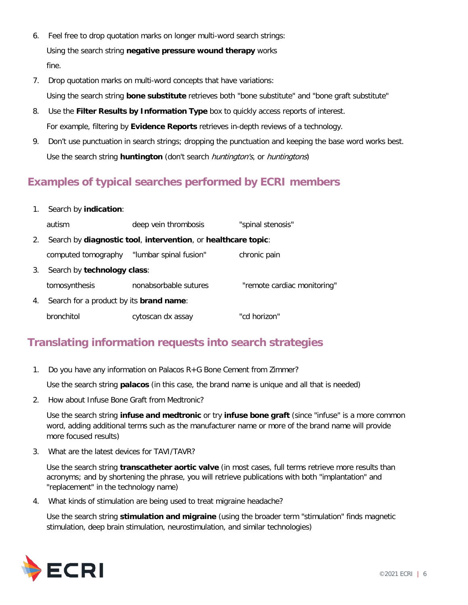- 6. Feel free to drop quotation marks on longer multi-word search strings: Using the search string **negative pressure wound therapy** works fine.
- 7. Drop quotation marks on multi-word concepts that have variations: Using the search string **bone substitute** retrieves both "bone substitute" and "bone graft substitute"
- 8. Use the **Filter Results by Information Type** box to quickly access reports of interest. For example, filtering by **Evidence Reports** retrieves in-depth reviews of a technology.
- 9. Don't use punctuation in search strings; dropping the punctuation and keeping the base word works best. Use the search string **huntington** (don't search huntington's, or huntingtons)

# **Examples of typical searches performed by ECRI members**

1. Search by **indication**:

|    | autism                                          | deep vein thrombosis                                          | "spinal stenosis"           |  |  |
|----|-------------------------------------------------|---------------------------------------------------------------|-----------------------------|--|--|
| 2. |                                                 | Search by diagnostic tool, intervention, or healthcare topic: |                             |  |  |
|    | computed tomography                             | "lumbar spinal fusion"                                        | chronic pain                |  |  |
| 3. | Search by technology class:                     |                                                               |                             |  |  |
|    | tomosynthesis                                   | nonabsorbable sutures                                         | "remote cardiac monitoring" |  |  |
| 4. | Search for a product by its <b>brand name</b> : |                                                               |                             |  |  |
|    | bronchitol                                      | cytoscan dx assay                                             | "cd horizon"                |  |  |

# **Translating information requests into search strategies**

1. Do you have any information on Palacos R+G Bone Cement from Zimmer?

Use the search string **palacos** (in this case, the brand name is unique and all that is needed)

2. How about Infuse Bone Graft from Medtronic?

Use the search string **infuse and medtronic** or try **infuse bone graft** (since "infuse" is a more common word, adding additional terms such as the manufacturer name or more of the brand name will provide more focused results)

3. What are the latest devices for TAVI/TAVR?

Use the search string **transcatheter aortic valve** (in most cases, full terms retrieve more results than acronyms; and by shortening the phrase, you will retrieve publications with both "implantation" and "replacement" in the technology name)

4. What kinds of stimulation are being used to treat migraine headache?

Use the search string **stimulation and migraine** (using the broader term "stimulation" finds magnetic stimulation, deep brain stimulation, neurostimulation, and similar technologies)

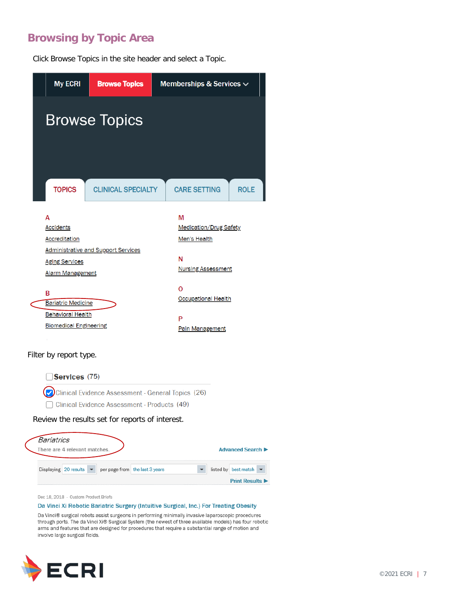## **Browsing by Topic Area**

Click Browse Topics in the site header and select a Topic.





Dec 18, 2018 - Custom Product Briefs

#### Da Vinci Xi Robotic Bariatric Surgery (Intuitive Surgical, Inc.) For Treating Obesity

Da Vinci® surgical robots assist surgeons in performing minimally invasive laparoscopic procedures through ports. The da Vinci Xi® Surgical System (the newest of three available models) has four robotic arms and features that are designed for procedures that require a substantial range of motion and involve large surgical fields.

**Print Results ▶** 

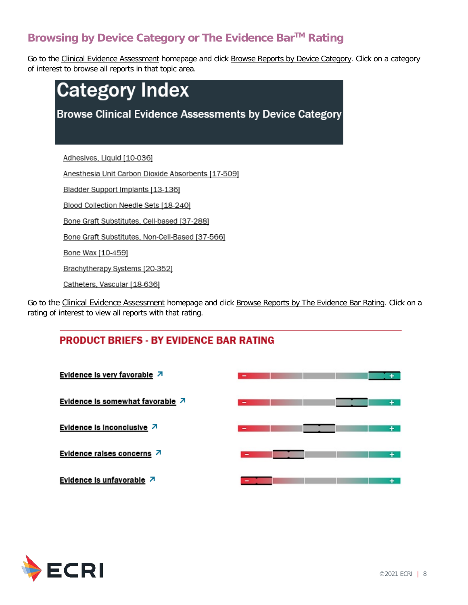# **Browsing by Device Category or The Evidence BarTM Rating**

Go to the [Clinical Evidence Assessment](https://www.ecri.org/components/HTAIS/Pages/default.aspx) homepage and click [Browse Reports by Device Category.](https://www.ecri.org/components/HTAIS/Pages/categories.aspx) Click on a category of interest to browse all reports in that topic area.



Go to the [Clinical Evidence Assessment](https://www.ecri.org/components/HTAIS/Pages/default.aspx) homepage and click [Browse Reports by The Evidence Bar Rating.](https://www.ecri.org/components/ProductBriefs/Pages/index.aspx) Click on a rating of interest to view all reports with that rating.

#### **PRODUCT BRIEFS - BY EVIDENCE BAR RATING**